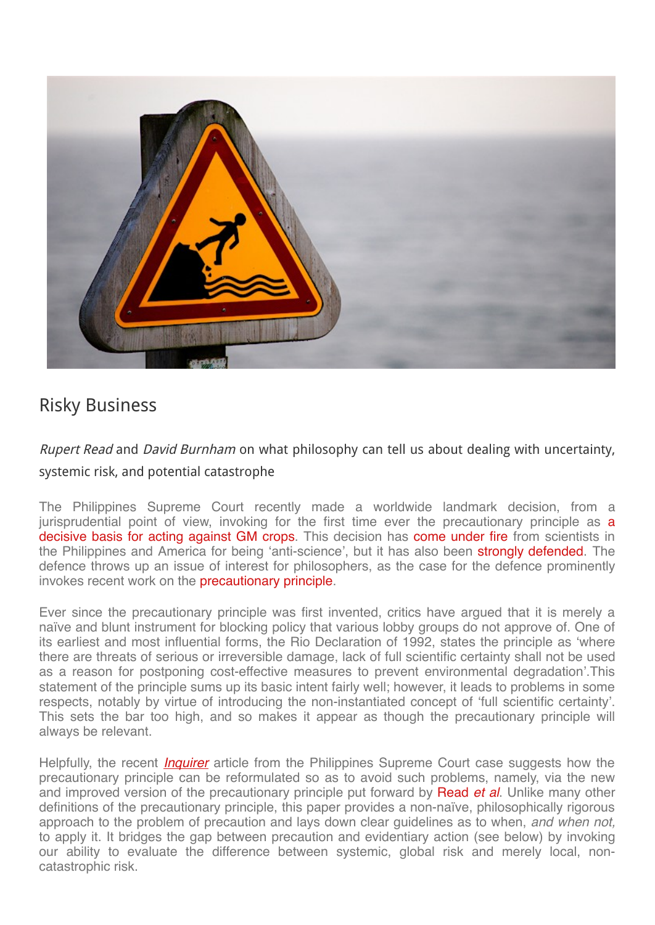

## Risky [Business](http://blogs.lse.ac.uk/theforum/risky-business/)

## Rupert Read and David Burnham on what philosophy can tell us about dealing with uncertainty, systemic risk, and potential catastrophe

The Philippines Supreme Court recently made a worldwide landmark decision, from a [jurisprudential](http://www.globalresearch.ca/supreme-court-of-philippines-confirms-genetically-modified-gm-eggplant-ban/5495025) point of view, invoking for the first time ever the precautionary principle as **a** decisive basis for acting against GM crops. This decision has come [under](http://opinion.inquirer.net/92844/bt-talong-case-striking-at-heart-of-ph-concerns) fire from scientists in the Philippines and America for being 'anti-science', but it has also been strongly [defended](http://opinion.inquirer.net/93726/bt-talong-better-safe-than-sorry). The defence throws up an issue of interest for philosophers, as the case for the defence prominently invokes recent work on the [precautionary](https://issuu.com/precautionaryprinciple/docs/pp_brochure_draft_3) principle.

Ever since the precautionary principle was first invented, critics have argued that it is merely a naïve and blunt instrument for blocking policy that various lobby groups do not approve of. One of its earliest and most influential forms, the Rio Declaration of 1992, states the principle as 'where there are threats of serious or irreversible damage, lack of full scientific certainty shall not be used as a reason for postponing cost-effective measures to prevent environmental degradation'.This statement of the principle sums up its basic intent fairly well; however, it leads to problems in some respects, notably by virtue of introducing the non-instantiated concept of 'full scientific certainty'. This sets the bar too high, and so makes it appear as though the precautionary principle will always be relevant.

Helpfully, the recent *[Inquirer](http://opinion.inquirer.net/93726/bt-talong-better-safe-than-sorry)* article from the Philippines Supreme Court case suggests how the precautionary principle can be reformulated so as to avoid such problems, namely, via the new and improved version of the precautionary principle put forward by [Read](https://issuu.com/precautionaryprinciple/docs/pp_brochure_draft_3) *et al*. Unlike many other definitions of the precautionary principle, this paper provides a non-naïve, philosophically rigorous approach to the problem of precaution and lays down clear guidelines as to when, *and when not,* to apply it. It bridges the gap between precaution and evidentiary action (see below) by invoking our ability to evaluate the difference between systemic, global risk and merely local, noncatastrophic risk.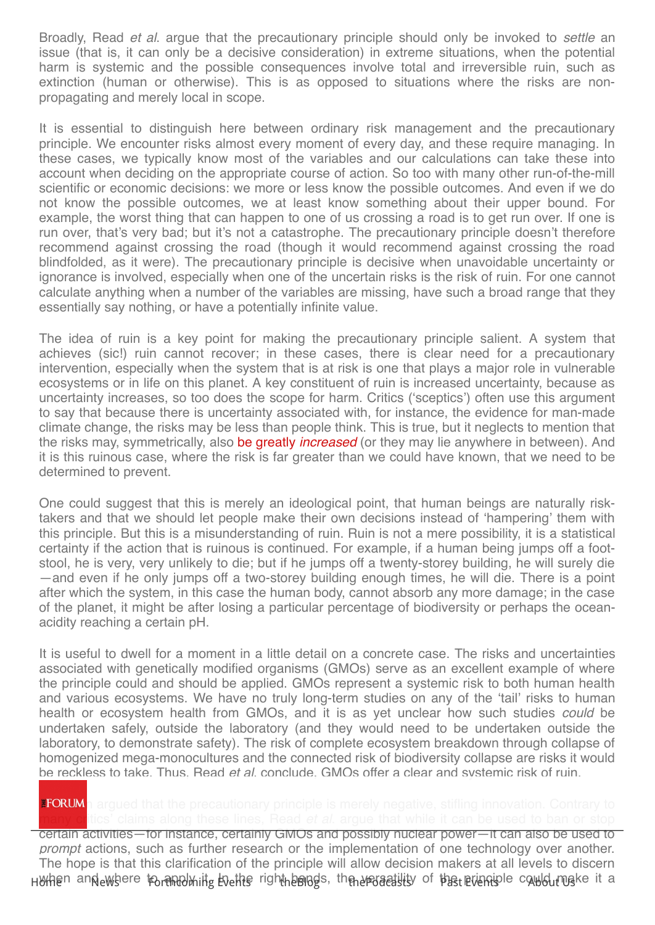Broadly, Read *et al*. argue that the precautionary principle should only be invoked to *settle* an issue (that is, it can only be a decisive consideration) in extreme situations, when the potential harm is systemic and the possible consequences involve total and irreversible ruin, such as extinction (human or otherwise). This is as opposed to situations where the risks are nonpropagating and merely local in scope.

It is essential to distinguish here between ordinary risk management and the precautionary principle. We encounter risks almost every moment of every day, and these require managing. In these cases, we typically know most of the variables and our calculations can take these into account when deciding on the appropriate course of action. So too with many other run-of-the-mill scientific or economic decisions: we more or less know the possible outcomes. And even if we do not know the possible outcomes, we at least know something about their upper bound. For example, the worst thing that can happen to one of us crossing a road is to get run over. If one is run over, that's very bad; but it's not a catastrophe. The precautionary principle doesn't therefore recommend against crossing the road (though it would recommend against crossing the road blindfolded, as it were). The precautionary principle is decisive when unavoidable uncertainty or ignorance is involved, especially when one of the uncertain risks is the risk of ruin. For one cannot calculate anything when a number of the variables are missing, have such a broad range that they essentially say nothing, or have a potentially infinite value.

The idea of ruin is a key point for making the precautionary principle salient. A system that achieves (sic!) ruin cannot recover; in these cases, there is clear need for a precautionary intervention, especially when the system that is at risk is one that plays a major role in vulnerable ecosystems or in life on this planet. A key constituent of ruin is increased uncertainty, because as uncertainty increases, so too does the scope for harm. Critics ('sceptics') often use this argument to say that because there is uncertainty associated with, for instance, the evidence for man-made climate change, the risks may be less than people think. This is true, but it neglects to mention that the risks may, symmetrically, also be greatly *[increased](http://www.theguardian.com/environment/climate-consensus-97-per-cent/2014/apr/04/climate-change-uncertainty-stronger-tackling-case)* (or they may lie anywhere in between). And it is this ruinous case, where the risk is far greater than we could have known, that we need to be determined to prevent.

One could suggest that this is merely an ideological point, that human beings are naturally risktakers and that we should let people make their own decisions instead of 'hampering' them with this principle. But this is a misunderstanding of ruin. Ruin is not a mere possibility, it is a statistical certainty if the action that is ruinous is continued. For example, if a human being jumps off a footstool, he is very, very unlikely to die; but if he jumps off a twenty-storey building, he will surely die —and even if he only jumps off a two-storey building enough times, he will die. There is a point after which the system, in this case the human body, cannot absorb any more damage; in the case of the planet, it might be after losing a particular percentage of biodiversity or perhaps the oceanacidity reaching a certain pH.

It is useful to dwell for a moment in a little detail on a concrete case. The risks and uncertainties associated with genetically modified organisms (GMOs) serve as an excellent example of where the principle could and should be applied. GMOs represent a systemic risk to both human health and various ecosystems. We have no truly long-term studies on any of the 'tail' risks to human health or ecosystem health from GMOs, and it is as yet unclear how such studies *could* be undertaken safely, outside the laboratory (and they would need to be undertaken outside the laboratory, to demonstrate safety). The risk of complete ecosystem breakdown through collapse of homogenized mega-monocultures and the connected risk of biodiversity collapse are risks it would be reckless to take. Thus, Read *et al*. conclude, GMOs offer a clear and systemic risk of ruin.

## **EFORUM** arqued that the precautionary principle is merely negative, stifling innovation. Contrary to

certain activities—for instance, certainly GMOs and possibly nuclear power—it can also be used to *prompt* actions, such as further research or the implementation of one technology over another. [The](http://blogs.lse.ac.uk/theforum/) hope is that this [clarification](http://blogs.lse.ac.uk/theforum/forthcomingevents) of the [principle](http://blogs.lse.ac.uk/theforum/blog/) will [allow](http://blogs.lse.ac.uk/theforum/thepodcasts) decision [makers](http://blogs.lse.ac.uk/theforum/pastevents/) at all l[evels](http://blogs.lse.ac.uk/theforum/aboutus/) to discern Huthen annewhere to mhol it bethe right bongs, the ersetility of the principle could make it a